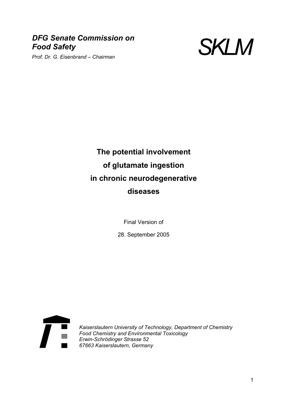# *DFG Senate Commission on Food Safety Prof. Dr. G. Eisenbrand – Chairman* SKLM<br>Prof. Dr. G. Eisenbrand – Chairman



# **The potential involvement of glutamate ingestion in chronic neurodegenerative diseases**

Final Version of

28. September 2005



*Kaiserslautern University of Technology, Department of Chemistry Food Chemistry and Environmental Toxicology Erwin-Schrödinger Strasse 52 67663 Kaiserslautern, Germany*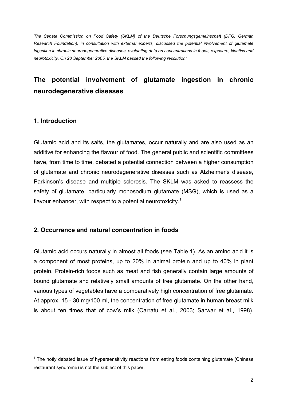*The Senate Commission on Food Safety (SKLM) of the Deutsche Forschungsgemeinschaft (DFG, German Research Foundation), in consultation with external experts, discussed the potential involvement of glutamate ingestion in chronic neurodegenerative diseases, evaluating data on concentrations in foods, exposure, kinetics and neurotoxicity. On 28 September 2005, the SKLM passed the following resolution:*

# **The potential involvement of glutamate ingestion in chronic neurodegenerative diseases**

#### **1. Introduction**

l

Glutamic acid and its salts, the glutamates, occur naturally and are also used as an additive for enhancing the flavour of food. The general public and scientific committees have, from time to time, debated a potential connection between a higher consumption of glutamate and chronic neurodegenerative diseases such as Alzheimer's disease, Parkinson's disease and multiple sclerosis. The SKLM was asked to reassess the safety of glutamate, particularly monosodium glutamate (MSG), which is used as a flavour enhancer, with respect to a potential neurotoxicity.<sup>1</sup>

#### **2. Occurrence and natural concentration in foods**

Glutamic acid occurs naturally in almost all foods (see Table 1). As an amino acid it is a component of most proteins, up to 20% in animal protein and up to 40% in plant protein. Protein-rich foods such as meat and fish generally contain large amounts of bound glutamate and relatively small amounts of free glutamate. On the other hand, various types of vegetables have a comparatively high concentration of free glutamate. At approx. 15 - 30 mg/100 ml, the concentration of free glutamate in human breast milk is about ten times that of cow's milk (Carratu et al., 2003; Sarwar et al., 1998).

 $1$  The hotly debated issue of hypersensitivity reactions from eating foods containing glutamate (Chinese restaurant syndrome) is not the subject of this paper.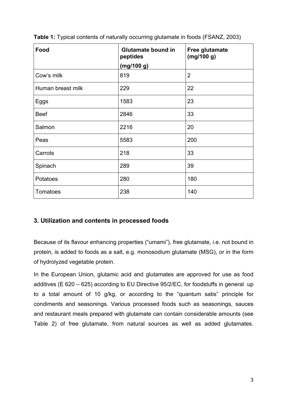| Food              | <b>Glutamate bound in</b><br>peptides | Free glutamate<br>(mg/100 g) |  |
|-------------------|---------------------------------------|------------------------------|--|
|                   | (mg/100 g)                            |                              |  |
| Cow's milk        | 819                                   | $\overline{2}$               |  |
| Human breast milk | 229                                   | 22                           |  |
| Eggs              | 1583                                  | 23                           |  |
| <b>Beef</b>       | 2846                                  | 33                           |  |
| Salmon            | 2216                                  | 20                           |  |
| Peas              | 5583                                  | 200                          |  |
| Carrots           | 218                                   | 33                           |  |
| Spinach           | 289                                   | 39                           |  |
| Potatoes          | 280                                   | 180                          |  |
| Tomatoes          | 238                                   | 140                          |  |

**Table 1:** Typical contents of naturally occurring glutamate in foods (FSANZ, 2003)

### **3. Utilization and contents in processed foods**

Because of its flavour enhancing properties ("umami"), free glutamate, i.e. not bound in protein, is added to foods as a salt, e.g. monosodium glutamate (MSG), or in the form of hydrolyzed vegetable protein.

In the European Union, glutamic acid and glutamates are approved for use as food additives (E 620 – 625) according to EU Directive 95/2/EC, for foodstuffs in general up to a total amount of 10 g/kg, or according to the "quantum satis" principle for condiments and seasonings. Various processed foods such as seasonings, sauces and restaurant meals prepared with glutamate can contain considerable amounts (see Table 2) of free glutamate, from natural sources as well as added glutamates.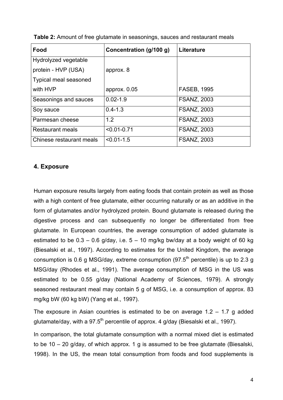| Food                         | Concentration (g/100 g) | <b>Literature</b>  |
|------------------------------|-------------------------|--------------------|
| Hydrolyzed vegetable         |                         |                    |
| protein - HVP (USA)          | approx. 8               |                    |
| <b>Typical meal seasoned</b> |                         |                    |
| with HVP                     | approx. $0.05$          | <b>FASEB, 1995</b> |
| Seasonings and sauces        | $0.02 - 1.9$            | <b>FSANZ, 2003</b> |
| Soy sauce                    | $0.4 - 1.3$             | <b>FSANZ, 2003</b> |
| Parmesan cheese              | 1.2                     | <b>FSANZ, 2003</b> |
| <b>Restaurant meals</b>      | $< 0.01 - 0.71$         | <b>FSANZ, 2003</b> |
| Chinese restaurant meals     | $< 0.01 - 1.5$          | <b>FSANZ, 2003</b> |

**Table 2:** Amount of free glutamate in seasonings, sauces and restaurant meals

#### **4. Exposure**

Human exposure results largely from eating foods that contain protein as well as those with a high content of free glutamate, either occurring naturally or as an additive in the form of glutamates and/or hydrolyzed protein. Bound glutamate is released during the digestive process and can subsequently no longer be differentiated from free glutamate. In European countries, the average consumption of added glutamate is estimated to be  $0.3 - 0.6$  g/day, i.e.  $5 - 10$  mg/kg bw/day at a body weight of 60 kg (Biesalski et al., 1997). According to estimates for the United Kingdom, the average consumption is 0.6 g MSG/day, extreme consumption  $(97.5<sup>th</sup>$  percentile) is up to 2.3 g MSG/day (Rhodes et al., 1991). The average consumption of MSG in the US was estimated to be 0.55 g/day (National Academy of Sciences, 1979). A strongly seasoned restaurant meal may contain 5 g of MSG, i.e. a consumption of approx. 83 mg/kg bW (60 kg bW) (Yang et al., 1997).

The exposure in Asian countries is estimated to be on average  $1.2 - 1.7$  g added glutamate/day, with a 97.5<sup>th</sup> percentile of approx. 4 g/day (Biesalski et al., 1997).

In comparison, the total glutamate consumption with a normal mixed diet is estimated to be  $10 - 20$  g/day, of which approx. 1 g is assumed to be free glutamate (Biesalski, 1998). In the US, the mean total consumption from foods and food supplements is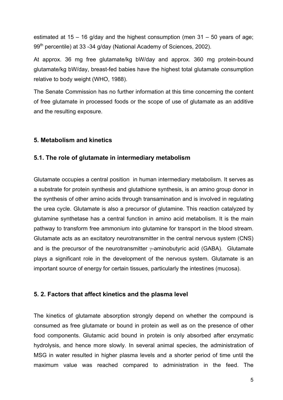estimated at  $15 - 16$  g/day and the highest consumption (men  $31 - 50$  years of age; 99<sup>th</sup> percentile) at 33 -34 g/day (National Academy of Sciences, 2002).

At approx. 36 mg free glutamate/kg bW/day and approx. 360 mg protein-bound glutamate/kg bW/day, breast-fed babies have the highest total glutamate consumption relative to body weight (WHO, 1988).

The Senate Commission has no further information at this time concerning the content of free glutamate in processed foods or the scope of use of glutamate as an additive and the resulting exposure.

#### **5. Metabolism and kinetics**

#### **5.1. The role of glutamate in intermediary metabolism**

Glutamate occupies a central position in human intermediary metabolism. It serves as a substrate for protein synthesis and glutathione synthesis, is an amino group donor in the synthesis of other amino acids through transamination and is involved in regulating the urea cycle. Glutamate is also a precursor of glutamine. This reaction catalyzed by glutamine synthetase has a central function in amino acid metabolism. It is the main pathway to transform free ammonium into glutamine for transport in the blood stream. Glutamate acts as an excitatory neurotransmitter in the central nervous system (CNS) and is the precursor of the neurotransmitter  $\gamma$ -aminobutyric acid (GABA). Glutamate plays a significant role in the development of the nervous system. Glutamate is an important source of energy for certain tissues, particularly the intestines (mucosa).

#### **5. 2. Factors that affect kinetics and the plasma level**

The kinetics of glutamate absorption strongly depend on whether the compound is consumed as free glutamate or bound in protein as well as on the presence of other food components. Glutamic acid bound in protein is only absorbed after enzymatic hydrolysis, and hence more slowly. In several animal species, the administration of MSG in water resulted in higher plasma levels and a shorter period of time until the maximum value was reached compared to administration in the feed. The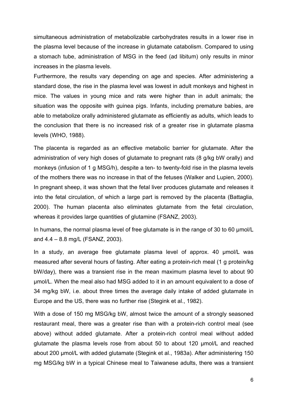simultaneous administration of metabolizable carbohydrates results in a lower rise in the plasma level because of the increase in glutamate catabolism. Compared to using a stomach tube, administration of MSG in the feed (ad libitum) only results in minor increases in the plasma levels.

Furthermore, the results vary depending on age and species. After administering a standard dose, the rise in the plasma level was lowest in adult monkeys and highest in mice. The values in young mice and rats were higher than in adult animals; the situation was the opposite with guinea pigs. Infants, including premature babies, are able to metabolize orally administered glutamate as efficiently as adults, which leads to the conclusion that there is no increased risk of a greater rise in glutamate plasma levels (WHO, 1988).

The placenta is regarded as an effective metabolic barrier for glutamate. After the administration of very high doses of glutamate to pregnant rats (8 g/kg bW orally) and monkeys (infusion of 1 g MSG/h), despite a ten- to twenty-fold rise in the plasma levels of the mothers there was no increase in that of the fetuses (Walker and Lupien, 2000). In pregnant sheep, it was shown that the fetal liver produces glutamate and releases it into the fetal circulation, of which a large part is removed by the placenta (Battaglia, 2000). The human placenta also eliminates glutamate from the fetal circulation, whereas it provides large quantities of glutamine (FSANZ, 2003).

In humans, the normal plasma level of free glutamate is in the range of 30 to 60 µmol/L and 4.4 – 8.8 mg/L (FSANZ, 2003).

In a study, an average free glutamate plasma level of approx. 40 µmol/L was measured after several hours of fasting. After eating a protein-rich meal (1 g protein/kg bW/day), there was a transient rise in the mean maximum plasma level to about 90 µmol/L. When the meal also had MSG added to it in an amount equivalent to a dose of 34 mg/kg bW, i.e. about three times the average daily intake of added glutamate in Europe and the US, there was no further rise (Stegink et al., 1982).

With a dose of 150 mg MSG/kg bW, almost twice the amount of a strongly seasoned restaurant meal, there was a greater rise than with a protein-rich control meal (see above) without added glutamate. After a protein-rich control meal without added glutamate the plasma levels rose from about 50 to about 120 µmol/L and reached about 200 µmol/L with added glutamate (Stegink et al., 1983a). After administering 150 mg MSG/kg bW in a typical Chinese meal to Taiwanese adults, there was a transient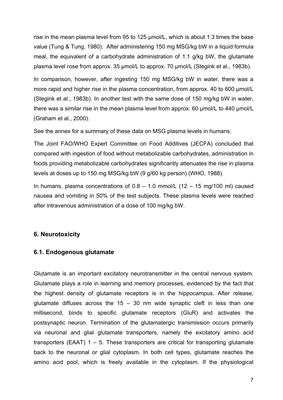rise in the mean plasma level from 95 to 125 µmol/L, which is about 1.3 times the base value (Tung & Tung, 1980). After administering 150 mg MSG/kg bW in a liquid formula meal, the equivalent of a carbohydrate administration of 1.1 g/kg bW, the glutamate plasma level rose from approx. 35 µmol/L to approx. 70 µmol/L (Stegink et al., 1983b).

In comparison, however, after ingesting 150 mg MSG/kg bW in water, there was a more rapid and higher rise in the plasma concentration, from approx. 40 to 600 µmol/L (Stegink et al., 1983b). In another test with the same dose of 150 mg/kg bW in water, there was a similar rise in the mean plasma level from approx. 60 µmol/L to 440 µmol/L (Graham et al., 2000).

See the annex for a summary of these data on MSG plasma levels in humans.

The Joint FAO/WHO Expert Committee on Food Additives (JECFA) concluded that compared with ingestion of food without metabolizable carbohydrates, administration in foods providing metabolizable carbohydrates significantly attenuates the rise in plasma levels at doses up to 150 mg MSG/kg bW (9 g/60 kg person) (WHO, 1988).

In humans, plasma concentrations of  $0.8 - 1.0$  mmol/L ( $12 - 15$  mg/ $100$  ml) caused nausea and vomiting in 50% of the test subjects. These plasma levels were reached after intravenous administration of a dose of 100 mg/kg bW.

#### **6. Neurotoxicity**

#### **6.1. Endogenous glutamate**

Glutamate is an important excitatory neurotransmitter in the central nervous system. Glutamate plays a role in learning and memory processes, evidenced by the fact that the highest density of glutamate receptors is in the hippocampus. After release, glutamate diffuses across the  $15 - 30$  nm wide synaptic cleft in less than one millisecond, binds to specific glutamate receptors (GluR) and activates the postsynaptic neuron. Termination of the glutamatergic transmission occurs primarily via neuronal and glial glutamate transporters, namely the excitatory amino acid transporters (EAAT)  $1 - 5$ . These transporters are critical for transporting glutamate back to the neuronal or glial cytoplasm. In both cell types, glutamate reaches the amino acid pool, which is freely available in the cytoplasm. If the physiological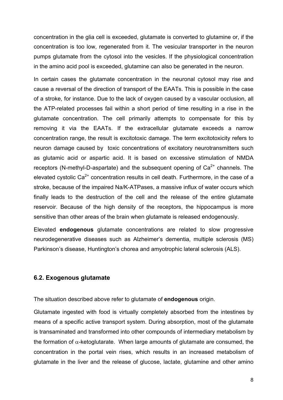concentration in the glia cell is exceeded, glutamate is converted to glutamine or, if the concentration is too low, regenerated from it. The vesicular transporter in the neuron pumps glutamate from the cytosol into the vesicles. If the physiological concentration in the amino acid pool is exceeded, glutamine can also be generated in the neuron.

In certain cases the glutamate concentration in the neuronal cytosol may rise and cause a reversal of the direction of transport of the EAATs. This is possible in the case of a stroke, for instance. Due to the lack of oxygen caused by a vascular occlusion, all the ATP-related processes fail within a short period of time resulting in a rise in the glutamate concentration. The cell primarily attempts to compensate for this by removing it via the EAATs. If the extracellular glutamate exceeds a narrow concentration range, the result is excitotoxic damage. The term excitotoxicity refers to neuron damage caused by toxic concentrations of excitatory neurotransmitters such as glutamic acid or aspartic acid. It is based on excessive stimulation of NMDA receptors (N-methyl-D-aspartate) and the subsequent opening of  $Ca<sup>2+</sup>$  channels. The elevated cystolic  $Ca^{2+}$  concentration results in cell death. Furthermore, in the case of a stroke, because of the impaired Na/K-ATPases, a massive influx of water occurs which finally leads to the destruction of the cell and the release of the entire glutamate reservoir. Because of the high density of the receptors, the hippocampus is more sensitive than other areas of the brain when glutamate is released endogenously.

Elevated **endogenous** glutamate concentrations are related to slow progressive neurodegenerative diseases such as Alzheimer's dementia, multiple sclerosis (MS) Parkinson's disease, Huntington's chorea and amyotrophic lateral sclerosis (ALS).

#### **6.2. Exogenous glutamate**

The situation described above refer to glutamate of **endogenous** origin.

Glutamate ingested with food is virtually completely absorbed from the intestines by means of a specific active transport system. During absorption, most of the glutamate is transaminated and transformed into other compounds of intermediary metabolism by the formation of  $\alpha$ -ketoglutarate. When large amounts of glutamate are consumed, the concentration in the portal vein rises, which results in an increased metabolism of glutamate in the liver and the release of glucose, lactate, glutamine and other amino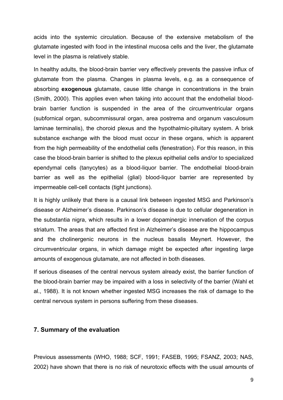acids into the systemic circulation. Because of the extensive metabolism of the glutamate ingested with food in the intestinal mucosa cells and the liver, the glutamate level in the plasma is relatively stable.

In healthy adults, the blood-brain barrier very effectively prevents the passive influx of glutamate from the plasma. Changes in plasma levels, e.g. as a consequence of absorbing **exogenous** glutamate, cause little change in concentrations in the brain (Smith, 2000). This applies even when taking into account that the endothelial bloodbrain barrier function is suspended in the area of the circumventricular organs (subfornical organ, subcommissural organ, area postrema and organum vasculosum laminae terminalis), the choroid plexus and the hypothalmic-pituitary system. A brisk substance exchange with the blood must occur in these organs, which is apparent from the high permeability of the endothelial cells (fenestration). For this reason, in this case the blood-brain barrier is shifted to the plexus epithelial cells and/or to specialized ependymal cells (tanycytes) as a blood-liquor barrier. The endothelial blood-brain barrier as well as the epithelial (glial) blood-liquor barrier are represented by impermeable cell-cell contacts (tight junctions).

It is highly unlikely that there is a causal link between ingested MSG and Parkinson's disease or Alzheimer's disease. Parkinson's disease is due to cellular degeneration in the substantia nigra, which results in a lower dopaminergic innervation of the corpus striatum. The areas that are affected first in Alzheimer's disease are the hippocampus and the cholinergenic neurons in the nucleus basalis Meynert. However, the circumventricular organs, in which damage might be expected after ingesting large amounts of exogenous glutamate, are not affected in both diseases.

If serious diseases of the central nervous system already exist, the barrier function of the blood-brain barrier may be impaired with a loss in selectivity of the barrier (Wahl et al., 1988). It is not known whether ingested MSG increases the risk of damage to the central nervous system in persons suffering from these diseases.

#### **7. Summary of the evaluation**

Previous assessments (WHO, 1988; SCF, 1991; FASEB, 1995; FSANZ, 2003; NAS, 2002) have shown that there is no risk of neurotoxic effects with the usual amounts of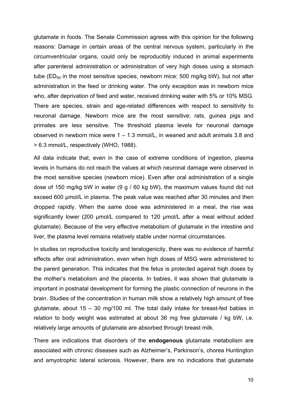glutamate in foods. The Senate Commission agrees with this opinion for the following reasons: Damage in certain areas of the central nervous system, particularly in the circumventricular organs, could only be reproducibly induced in animal experiments after parenteral administration or administration of very high doses using a stomach tube ( $ED_{50}$  in the most sensitive species, newborn mice: 500 mg/kg bW), but not after administration in the feed or drinking water. The only exception was in newborn mice who, after deprivation of feed and water, received drinking water with 5% or 10% MSG. There are species, strain and age-related differences with respect to sensitivity to neuronal damage. Newborn mice are the most sensitive; rats, guinea pigs and primates are less sensitive. The threshold plasma levels for neuronal damage observed in newborn mice were  $1 - 1.3$  mmol/L, in weaned and adult animals 3.8 and > 6.3 mmol/L, respectively (WHO, 1988).

All data indicate that, even in the case of extreme conditions of ingestion, plasma levels in humans do not reach the values at which neuronal damage were observed in the most sensitive species (newborn mice). Even after oral administration of a single dose of 150 mg/kg bW in water (9 g / 60 kg bW), the maximum values found did not exceed 600 µmol/L in plasma. The peak value was reached after 30 minutes and then dropped rapidly. When the same dose was administered in a meal, the rise was significantly lower (200 µmol/L compared to 120 µmol/L after a meal without added glutamate). Because of the very effective metabolism of glutamate in the intestine and liver, the plasma level remains relatively stable under normal circumstances.

In studies on reproductive toxicity and teratogenicity, there was no evidence of harmful effects after oral administration, even when high doses of MSG were administered to the parent generation. This indicates that the fetus is protected against high doses by the mother's metabolism and the placenta. In babies, it was shown that glutamate is important in postnatal development for forming the plastic connection of neurons in the brain. Studies of the concentration in human milk show a relatively high amount of free glutamate, about 15 – 30 mg/100 ml. The total daily intake for breast-fed babies in relation to body weight was estimated at about 36 mg free glutamate / kg bW, i.e. relatively large amounts of glutamate are absorbed through breast milk.

There are indications that disorders of the **endogenous** glutamate metabolism are associated with chronic diseases such as Alzheimer's, Parkinson's, chorea Huntington and amyotrophic lateral sclerosis. However, there are no indications that glutamate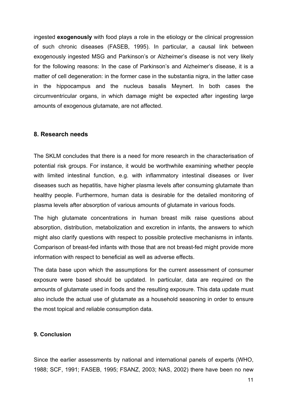ingested **exogenously** with food plays a role in the etiology or the clinical progression of such chronic diseases (FASEB, 1995). In particular, a causal link between exogenously ingested MSG and Parkinson's or Alzheimer's disease is not very likely for the following reasons: In the case of Parkinson's and Alzheimer's disease, it is a matter of cell degeneration: in the former case in the substantia nigra, in the latter case in the hippocampus and the nucleus basalis Meynert. In both cases the circumventricular organs, in which damage might be expected after ingesting large amounts of exogenous glutamate, are not affected.

#### **8. Research needs**

The SKLM concludes that there is a need for more research in the characterisation of potential risk groups. For instance, it would be worthwhile examining whether people with limited intestinal function, e.g. with inflammatory intestinal diseases or liver diseases such as hepatitis, have higher plasma levels after consuming glutamate than healthy people. Furthermore, human data is desirable for the detailed monitoring of plasma levels after absorption of various amounts of glutamate in various foods.

The high glutamate concentrations in human breast milk raise questions about absorption, distribution, metabolization and excretion in infants, the answers to which might also clarify questions with respect to possible protective mechanisms in infants. Comparison of breast-fed infants with those that are not breast-fed might provide more information with respect to beneficial as well as adverse effects.

The data base upon which the assumptions for the current assessment of consumer exposure were based should be updated. In particular, data are required on the amounts of glutamate used in foods and the resulting exposure. This data update must also include the actual use of glutamate as a household seasoning in order to ensure the most topical and reliable consumption data.

#### **9. Conclusion**

Since the earlier assessments by national and international panels of experts (WHO, 1988; SCF, 1991; FASEB, 1995; FSANZ, 2003; NAS, 2002) there have been no new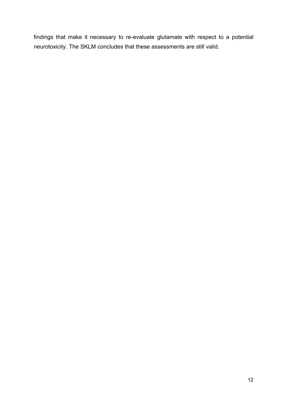findings that make it necessary to re-evaluate glutamate with respect to a potential neurotoxicity. The SKLM concludes that these assessments are still valid.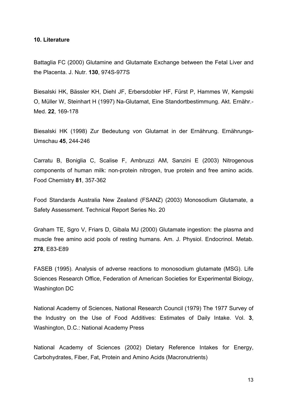#### **10. Literature**

Battaglia FC (2000) Glutamine and Glutamate Exchange between the Fetal Liver and the Placenta. J. Nutr. **130**, 974S-977S

Biesalski HK, Bässler KH, Diehl JF, Erbersdobler HF, Fürst P, Hammes W, Kempski O, Müller W, Steinhart H (1997) Na-Glutamat, Eine Standortbestimmung. Akt. Ernähr.- Med. **22**, 169-178

Biesalski HK (1998) Zur Bedeutung von Glutamat in der Ernährung. Ernährungs-Umschau **45**, 244-246

Carratu B, Boniglia C, Scalise F, Ambruzzi AM, Sanzini E (2003) Nitrogenous components of human milk: non-protein nitrogen, true protein and free amino acids. Food Chemistry **81**, 357-362

Food Standards Australia New Zealand (FSANZ) (2003) Monosodium Glutamate, a Safety Assessment. Technical Report Series No. 20

Graham TE, Sgro V, Friars D, Gibala MJ (2000) Glutamate ingestion: the plasma and muscle free amino acid pools of resting humans. Am. J. Physiol. Endocrinol. Metab. **278**, E83-E89

FASEB (1995). Analysis of adverse reactions to monosodium glutamate (MSG). Life Sciences Research Office, Federation of American Societies for Experimental Biology, Washington DC

National Academy of Sciences, National Research Council (1979) The 1977 Survey of the Industry on the Use of Food Additives: Estimates of Daily Intake. Vol. **3**, Washington, D.C.: National Academy Press

National Academy of Sciences (2002) Dietary Reference Intakes for Energy, Carbohydrates, Fiber, Fat, Protein and Amino Acids (Macronutrients)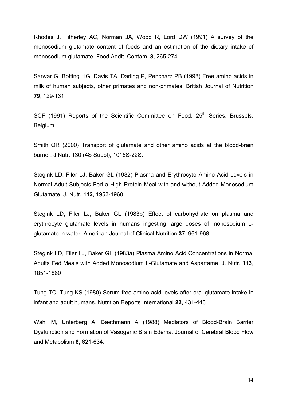Rhodes J, Titherley AC, Norman JA, Wood R, Lord DW (1991) A survey of the monosodium glutamate content of foods and an estimation of the dietary intake of monosodium glutamate. Food Addit. Contam. **8**, 265-274

Sarwar G, Botting HG, Davis TA, Darling P, Pencharz PB (1998) Free amino acids in milk of human subjects, other primates and non-primates. British Journal of Nutrition **79**, 129-131

SCF (1991) Reports of the Scientific Committee on Food. 25<sup>th</sup> Series, Brussels, Belgium

Smith QR (2000) Transport of glutamate and other amino acids at the blood-brain barrier. J Nutr. 130 (4S Suppl), 1016S-22S.

Stegink LD, Filer LJ, Baker GL (1982) Plasma and Erythrocyte Amino Acid Levels in Normal Adult Subjects Fed a High Protein Meal with and without Added Monosodium Glutamate. J. Nutr. **112**, 1953-1960

Stegink LD, Filer LJ, Baker GL (1983b) Effect of carbohydrate on plasma and erythrocyte glutamate levels in humans ingesting large doses of monosodium Lglutamate in water. American Journal of Clinical Nutrition **37**, 961-968

Stegink LD, Filer LJ, Baker GL (1983a) Plasma Amino Acid Concentrations in Normal Adults Fed Meals with Added Monosodium L-Glutamate and Aspartame. J. Nutr. **113**, 1851-1860

Tung TC, Tung KS (1980) Serum free amino acid levels after oral glutamate intake in infant and adult humans. Nutrition Reports International **22**, 431-443

Wahl M, Unterberg A, Baethmann A (1988) Mediators of Blood-Brain Barrier Dysfunction and Formation of Vasogenic Brain Edema. Journal of Cerebral Blood Flow and Metabolism **8**, 621-634.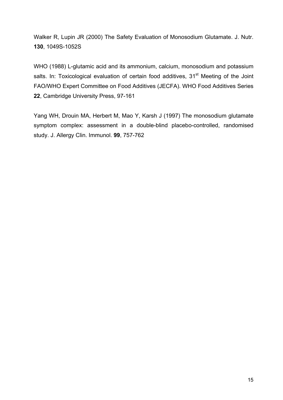Walker R, Lupin JR (2000) The Safety Evaluation of Monosodium Glutamate. J. Nutr. **130**, 1049S-1052S

WHO (1988) L-glutamic acid and its ammonium, calcium, monosodium and potassium salts. In: Toxicological evaluation of certain food additives, 31<sup>st</sup> Meeting of the Joint FAO/WHO Expert Committee on Food Additives (JECFA). WHO Food Additives Series **22**, Cambridge University Press, 97-161

Yang WH, Drouin MA, Herbert M, Mao Y, Karsh J (1997) The monosodium glutamate symptom complex: assessment in a double-blind placebo-controlled, randomised study. J. Allergy Clin. Immunol. **99**, 757-762